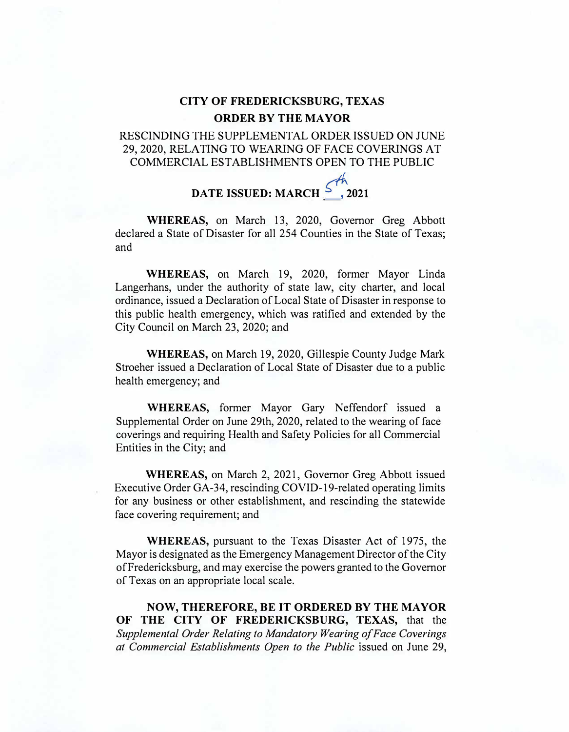## **CITY OF FREDERICKSBURG, TEXAS ORDER BY THE MAYOR**

## RESCINDING THE SUPPLEMENTAL ORDER ISSUED ON JUNE 29, 2020, RELATING TO WEARING OF FACE COVERINGS AT COMMERCIAL ESTABLISHMENTS OPEN TO THE PUBLIC

## **DATE ISSUED:** MARCH  $\int_{0}^{m}$  2021

**WHEREAS,** on March 13, 2020, Governor Greg Abbott declared a State of Disaster for all 254 Counties in the State of Texas; and

**WHEREAS,** on March 19, 2020, former Mayor Linda Langerhans, under the authority of state law, city charter, and local ordinance, issued a Declaration of Local State of Disaster in response to this public health emergency, which was ratified and extended by the City Council on March 23, 2020; and

**WHEREAS,** on March 19, 2020, Gillespie County Judge Mark Stroeher issued a Declaration of Local State of Disaster due to a public health emergency; and

**WHEREAS,** former Mayor Gary Neffendorf issued a Supplemental Order on June 29th, 2020, related to the wearing of face coverings and requiring Health and Safety Policies for all Commercial Entities in the City; and

**WHEREAS,** on March 2, 2021, Governor Greg Abbott issued Executive Order GA-34, rescinding COVID-19-related operating limits for any business or other establishment, and rescinding the statewide face covering requirement; and

**WHEREAS,** pursuant to the Texas Disaster Act of 1975, the Mayor is designated as the Emergency Management Director of the City of Fredericksburg, and may exercise the powers granted to the Governor of Texas on an appropriate local scale.

**NOW, THEREFORE, BE IT ORDERED BY THE MAYOR OF THE CITY OF FREDERICKSBURG, TEXAS,** that the *Supplemental Order Relating to Mandatory Wearing of Face Coverings at Commercial Establishments Open to the Public* issued on June 29,